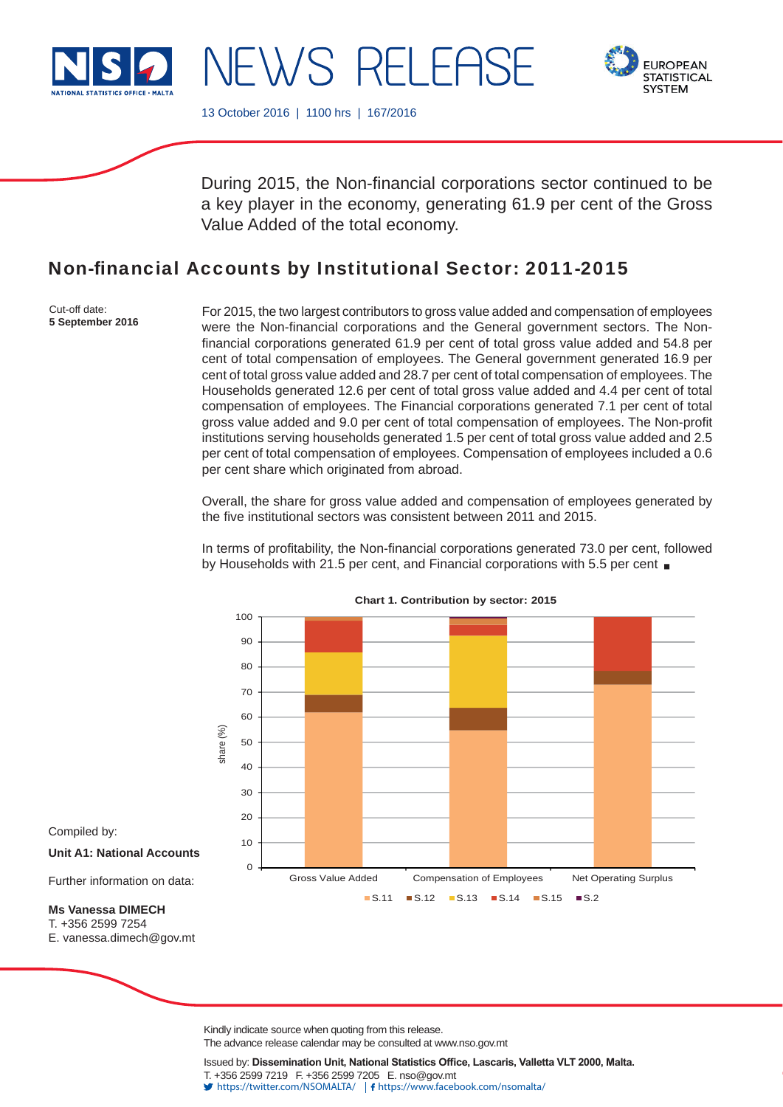

NEWS RELEAS



13 October 2016 | 1100 hrs | 167/2016

During 2015, the Non-financial corporations sector continued to be a key player in the economy, generating 61.9 per cent of the Gross Value Added of the total economy.

# Non-financial Accounts by Institutional Sector: 2011-2015

Cut-off date: **5 September 2016**

For 2015, the two largest contributors to gross value added and compensation of employees were the Non-financial corporations and the General government sectors. The Nonfinancial corporations generated 61.9 per cent of total gross value added and 54.8 per cent of total compensation of employees. The General government generated 16.9 per cent of total gross value added and 28.7 per cent of total compensation of employees. The Households generated 12.6 per cent of total gross value added and 4.4 per cent of total compensation of employees. The Financial corporations generated 7.1 per cent of total gross value added and 9.0 per cent of total compensation of employees. The Non-profit institutions serving households generated 1.5 per cent of total gross value added and 2.5 per cent of total compensation of employees. Compensation of employees included a 0.6 per cent share which originated from abroad.

Overall, the share for gross value added and compensation of employees generated by the five institutional sectors was consistent between 2011 and 2015.

In terms of profitability, the Non-financial corporations generated 73.0 per cent, followed by Households with 21.5 per cent, and Financial corporations with 5.5 per cent



**Chart 1. Contribution by sector: 2015**

Compiled by:

**Unit A1: National Accounts**

Further information on data:

## **Ms Vanessa DIMECH**

T. +356 2599 7254

E. vanessa.dimech@gov.mt

Kindly indicate source when quoting from this release. The advance release calendar may be consulted at www.nso.gov.mt

Issued by: Dissemination Unit, National Statistics Office, Lascaris, Valletta VLT 2000, Malta. T. +356 2599 7219 F. +356 2599 7205 E. nso@gov.mt https://twitter.com/NSOMALTA/ https://www.facebook.com/nsomalta/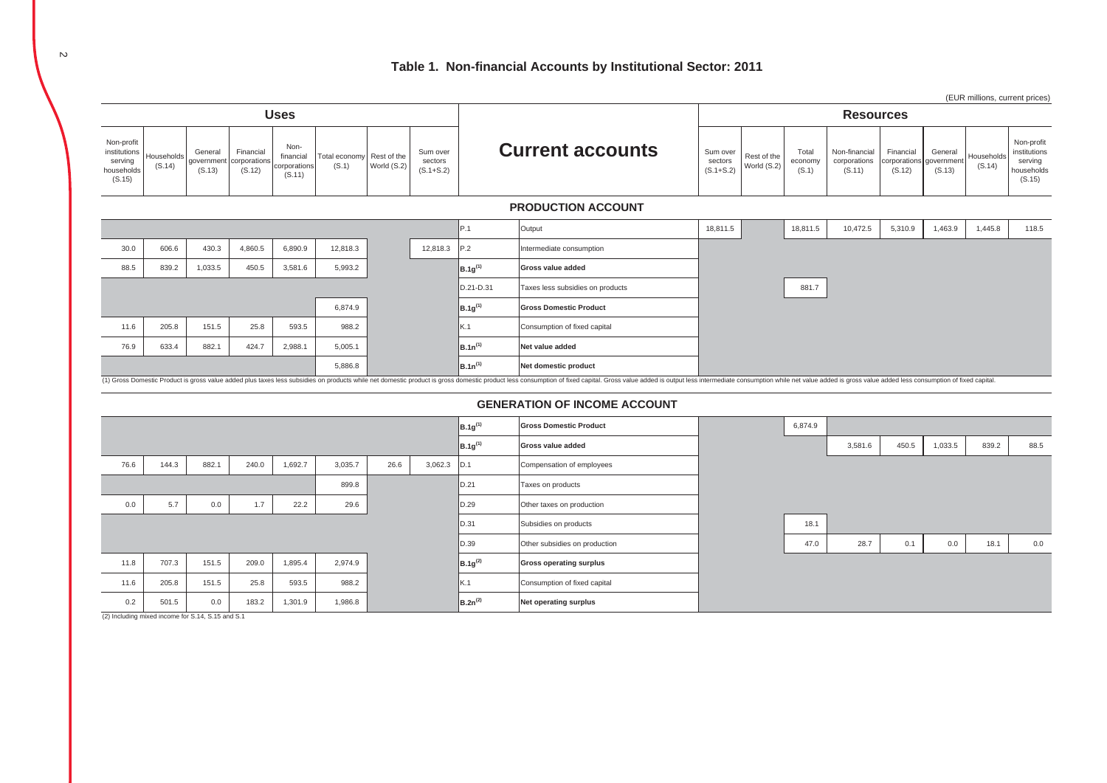# **Table 1. Non-financial Accounts by Institutional Sector: 2011**

|                                                               |                      |                                             |                                     |                                             |                        |                            |                                      |              |                                                                                                                                                                                                                                |                                      |                            |                           |                                         |                                     |                                 | (EUR millions, current prices) |                                                               |  |  |
|---------------------------------------------------------------|----------------------|---------------------------------------------|-------------------------------------|---------------------------------------------|------------------------|----------------------------|--------------------------------------|--------------|--------------------------------------------------------------------------------------------------------------------------------------------------------------------------------------------------------------------------------|--------------------------------------|----------------------------|---------------------------|-----------------------------------------|-------------------------------------|---------------------------------|--------------------------------|---------------------------------------------------------------|--|--|
| <b>Uses</b>                                                   |                      |                                             |                                     |                                             |                        |                            |                                      |              |                                                                                                                                                                                                                                |                                      | <b>Resources</b>           |                           |                                         |                                     |                                 |                                |                                                               |  |  |
| Non-profit<br>institutions<br>serving<br>households<br>(S.15) | Households<br>(S.14) | General<br>governmen <sup>®</sup><br>(S.13) | Financial<br>corporations<br>(S.12) | Non-<br>financial<br>corporations<br>(S.11) | Total economy<br>(S.1) | Rest of the<br>World (S.2) | Sum over<br>sectors<br>$(S.1 + S.2)$ |              | <b>Current accounts</b>                                                                                                                                                                                                        | Sum over<br>sectors<br>$(S.1 + S.2)$ | Rest of the<br>World (S.2) | Total<br>economy<br>(S.1) | Non-financial<br>corporations<br>(S.11) | Financial<br>corporations<br>(S.12) | General<br>government<br>(S.13) | Households<br>(S.14)           | Non-profit<br>institutions<br>serving<br>households<br>(S.15) |  |  |
|                                                               |                      |                                             |                                     |                                             |                        |                            |                                      |              | <b>PRODUCTION ACCOUNT</b>                                                                                                                                                                                                      |                                      |                            |                           |                                         |                                     |                                 |                                |                                                               |  |  |
|                                                               |                      |                                             |                                     |                                             |                        |                            |                                      | P.1          | Output                                                                                                                                                                                                                         | 18,811.5                             |                            | 18,811.5                  | 10,472.5                                | 5,310.9                             | 1,463.9                         | 1,445.8                        | 118.5                                                         |  |  |
| 30.0                                                          | 606.6                | 430.3                                       | 4,860.5                             | 6,890.9                                     | 12,818.3               |                            | 12,818.3                             | P.2          | Intermediate consumption                                                                                                                                                                                                       |                                      |                            |                           |                                         |                                     |                                 |                                |                                                               |  |  |
| 88.5                                                          | 839.2                | 1,033.5                                     | 450.5                               | 3,581.6                                     | 5,993.2                |                            |                                      | $B.1g^{(1)}$ | Gross value added                                                                                                                                                                                                              |                                      |                            |                           |                                         |                                     |                                 |                                |                                                               |  |  |
|                                                               |                      |                                             |                                     |                                             |                        |                            |                                      | D.21-D.31    | Taxes less subsidies on products                                                                                                                                                                                               |                                      |                            | 881.7                     |                                         |                                     |                                 |                                |                                                               |  |  |
|                                                               |                      |                                             |                                     |                                             | 6,874.9                |                            |                                      | $B.1g^{(1)}$ | <b>Gross Domestic Product</b>                                                                                                                                                                                                  |                                      |                            |                           |                                         |                                     |                                 |                                |                                                               |  |  |
| 11.6                                                          | 205.8                | 151.5                                       | 25.8                                | 593.5                                       | 988.2                  |                            |                                      | K.1          | Consumption of fixed capital                                                                                                                                                                                                   |                                      |                            |                           |                                         |                                     |                                 |                                |                                                               |  |  |
| 76.9                                                          | 633.4                | 882.1                                       | 424.7                               | 2,988.1                                     | 5,005.1                |                            |                                      | $B.1n^{(1)}$ | Net value added                                                                                                                                                                                                                |                                      |                            |                           |                                         |                                     |                                 |                                |                                                               |  |  |
|                                                               |                      |                                             |                                     |                                             | 5,886.8                |                            |                                      | $B.1n^{(1)}$ | Net domestic product                                                                                                                                                                                                           |                                      |                            |                           |                                         |                                     |                                 |                                |                                                               |  |  |
|                                                               |                      |                                             |                                     |                                             |                        |                            |                                      |              | (1) Gross Domestic Product is gross value added plus taxes less subsidies on products while net domestic product is gross domestic product less consumption of fixed capital. Gross value added is output less intermediate co |                                      |                            |                           |                                         |                                     |                                 |                                |                                                               |  |  |
|                                                               |                      |                                             |                                     |                                             |                        |                            |                                      |              | <b>GENERATION OF INCOME ACCOUNT</b>                                                                                                                                                                                            |                                      |                            |                           |                                         |                                     |                                 |                                |                                                               |  |  |
|                                                               |                      |                                             |                                     |                                             |                        |                            |                                      | $B.1g^{(1)}$ | <b>Gross Domestic Product</b>                                                                                                                                                                                                  |                                      |                            | 6,874.9                   |                                         |                                     |                                 |                                |                                                               |  |  |
|                                                               |                      |                                             |                                     |                                             |                        |                            |                                      | $B.1g^{(1)}$ | Gross value added                                                                                                                                                                                                              |                                      |                            |                           | 3,581.6                                 | 450.5                               | 1,033.5                         | 839.2                          | 88.5                                                          |  |  |
| 76.6                                                          | 144.3                | 882.1                                       | 240.0                               | 1,692.7                                     | 3,035.7                | 26.6                       | 3,062.3                              | D.1          | Compensation of employees                                                                                                                                                                                                      |                                      |                            |                           |                                         |                                     |                                 |                                |                                                               |  |  |
|                                                               |                      |                                             |                                     |                                             | 899.8                  |                            |                                      | D.21         | Taxes on products                                                                                                                                                                                                              |                                      |                            |                           |                                         |                                     |                                 |                                |                                                               |  |  |
| 0.0                                                           | 5.7                  | $0.0\,$                                     | 1.7                                 | 22.2                                        | 29.6                   |                            |                                      | D.29         | Other taxes on production                                                                                                                                                                                                      |                                      |                            |                           |                                         |                                     |                                 |                                |                                                               |  |  |
|                                                               |                      |                                             |                                     |                                             |                        |                            |                                      | D.31         | Subsidies on products                                                                                                                                                                                                          |                                      |                            | 18.1                      |                                         |                                     |                                 |                                |                                                               |  |  |
|                                                               |                      |                                             |                                     |                                             |                        |                            |                                      | D.39         | Other subsidies on production                                                                                                                                                                                                  |                                      |                            | 47.0                      | 28.7                                    | 0.1                                 | 0.0                             | 18.1                           | 0.0                                                           |  |  |
| 11.8                                                          | 707.3                | 151.5                                       | 209.0                               | 1,895.4                                     | 2,974.9                |                            |                                      | $B.1a^{(2)}$ | <b>Gross operating surplus</b>                                                                                                                                                                                                 |                                      |                            |                           |                                         |                                     |                                 |                                |                                                               |  |  |

(2) Including mixed income for S.14, S.15 and S.1

11.6 205.8 151.5 25.8 593.5 988.2 K.1 Consumption of fixed capital 0.2 501.5 0.0 183.2 1,301.9 1,986.8 **B.2n(2) Net operating surplus**

 $\sim$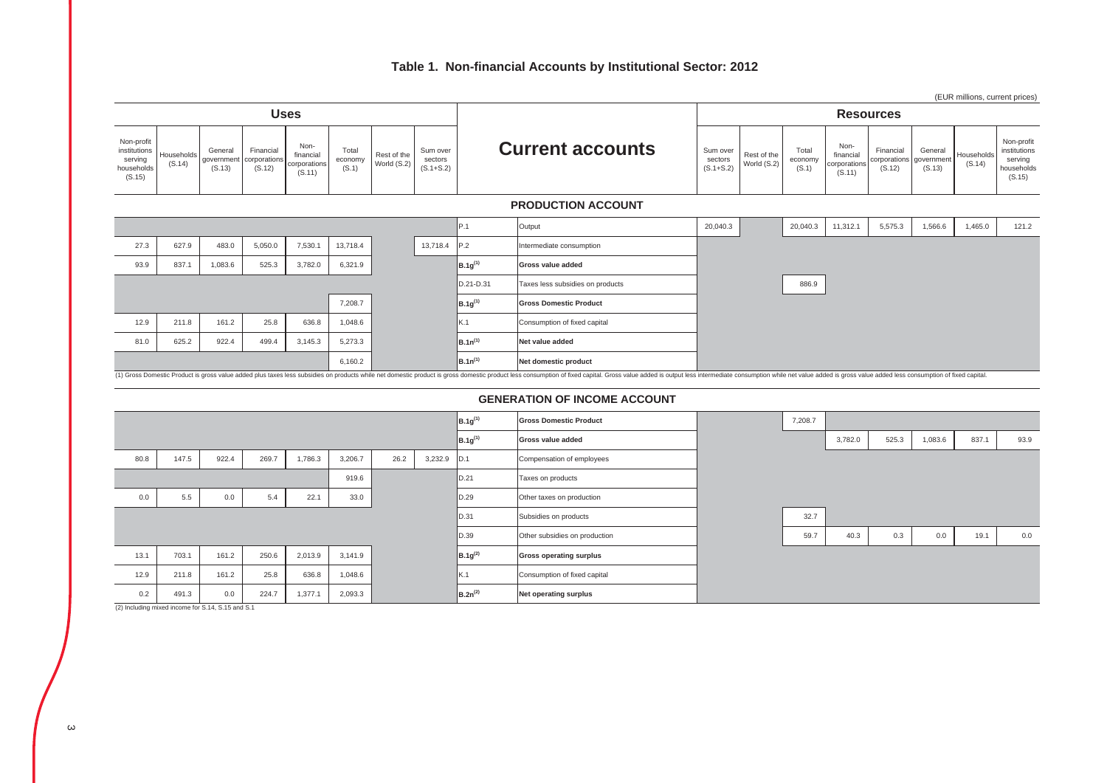# **Table 1. Non-financial Accounts by Institutional Sector: 2012**



#### **GENERATION OF INCOME ACCOUNT**

|      |       |       |       |         |         |      |         | $B.1g^{(1)}$ | <b>Gross Domestic Product</b>  | 7,208.7 |         |       |         |       |      |
|------|-------|-------|-------|---------|---------|------|---------|--------------|--------------------------------|---------|---------|-------|---------|-------|------|
|      |       |       |       |         |         |      |         | $B.1g^{(1)}$ | Gross value added              |         | 3,782.0 | 525.3 | 1,083.6 | 837.1 | 93.9 |
| 80.8 | 147.5 | 922.4 | 269.7 | 1,786.3 | 3,206.7 | 26.2 | 3,232.9 | D.1          | Compensation of employees      |         |         |       |         |       |      |
|      |       |       |       |         | 919.6   |      |         | D.21         | Taxes on products              |         |         |       |         |       |      |
| 0.0  | 5.5   | 0.0   | 5.4   | 22.1    | 33.0    |      |         | D.29         | Other taxes on production      |         |         |       |         |       |      |
|      |       |       |       |         |         |      |         | D.31         | Subsidies on products          | 32.7    |         |       |         |       |      |
|      |       |       |       |         |         |      |         | D.39         | Other subsidies on production  | 59.7    | 40.3    | 0.3   | 0.0     | 19.1  | 0.0  |
| 13.1 | 703.1 | 161.2 | 250.6 | 2,013.9 | 3,141.9 |      |         | $B.1g^{(2)}$ | <b>Gross operating surplus</b> |         |         |       |         |       |      |
| 12.9 | 211.8 | 161.2 | 25.8  | 636.8   | 1,048.6 |      |         | K.1          | Consumption of fixed capital   |         |         |       |         |       |      |
| 0.2  | 491.3 | 0.0   | 224.7 | 1,377.1 | 2,093.3 |      |         | $B.2n^{(2)}$ | Net operating surplus          |         |         |       |         |       |      |

(2) Including mixed income for S.14, S.15 and S.1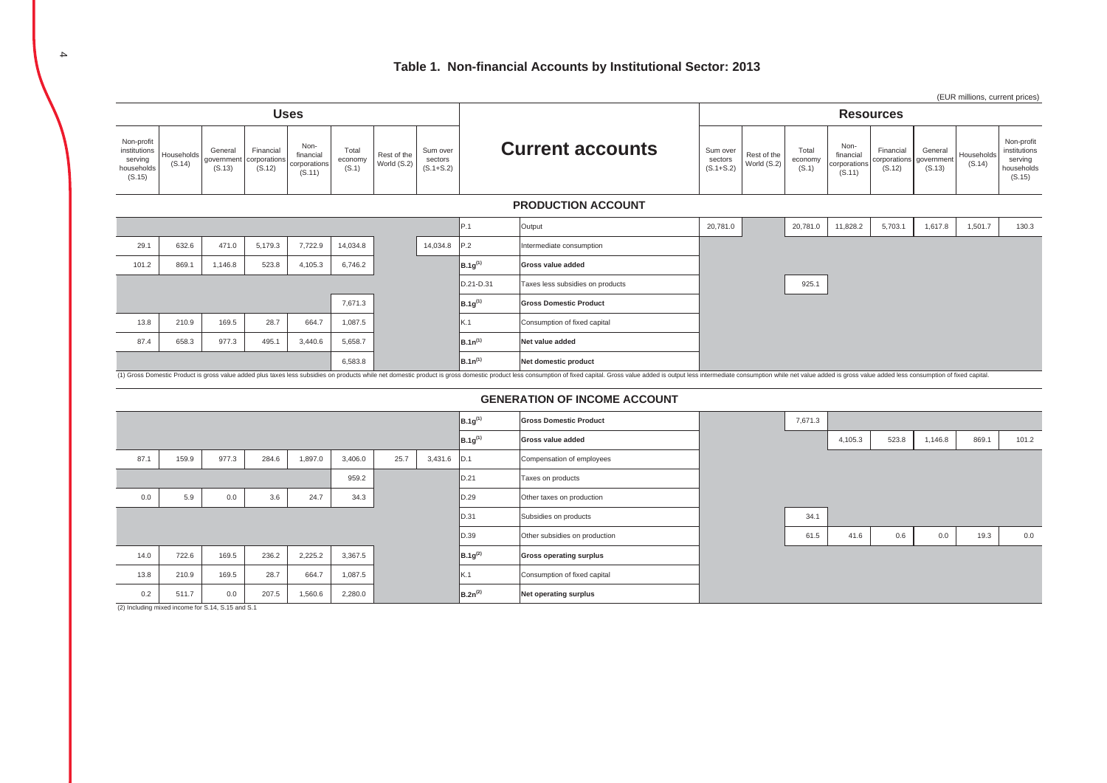

#### **GENERATION OF INCOME ACCOUNT**

|      |       |       |       |         |         |      |             | $B.1g^{(1)}$        | <b>Gross Domestic Product</b>  | 7,671.3 |         |       |         |       |       |
|------|-------|-------|-------|---------|---------|------|-------------|---------------------|--------------------------------|---------|---------|-------|---------|-------|-------|
|      |       |       |       |         |         |      |             | B.1g <sup>(1)</sup> | Gross value added              |         | 4,105.3 | 523.8 | 1,146.8 | 869.1 | 101.2 |
| 87.1 | 159.9 | 977.3 | 284.6 | 1,897.0 | 3,406.0 | 25.7 | 3,431.6 D.1 |                     | Compensation of employees      |         |         |       |         |       |       |
|      |       |       |       |         | 959.2   |      |             | D.21                | Taxes on products              |         |         |       |         |       |       |
| 0.0  | 5.9   | 0.0   | 3.6   | 24.7    | 34.3    |      |             | D.29                | Other taxes on production      |         |         |       |         |       |       |
|      |       |       |       |         |         |      |             | D.31                | Subsidies on products          | 34.1    |         |       |         |       |       |
|      |       |       |       |         |         |      |             | D.39                | Other subsidies on production  | 61.5    | 41.6    | 0.6   | 0.0     | 19.3  | 0.0   |
| 14.0 | 722.6 | 169.5 | 236.2 | 2,225.2 | 3,367.5 |      |             | $B.1g^{(2)}$        | <b>Gross operating surplus</b> |         |         |       |         |       |       |
| 13.8 | 210.9 | 169.5 | 28.7  | 664.7   | 1,087.5 |      |             | K.1                 | Consumption of fixed capital   |         |         |       |         |       |       |
| 0.2  | 511.7 | 0.0   | 207.5 | 1,560.6 | 2,280.0 |      |             | $B.2n^{(2)}$        | Net operating surplus          |         |         |       |         |       |       |

(2) Including mixed income for S.14, S.15 and S.1

4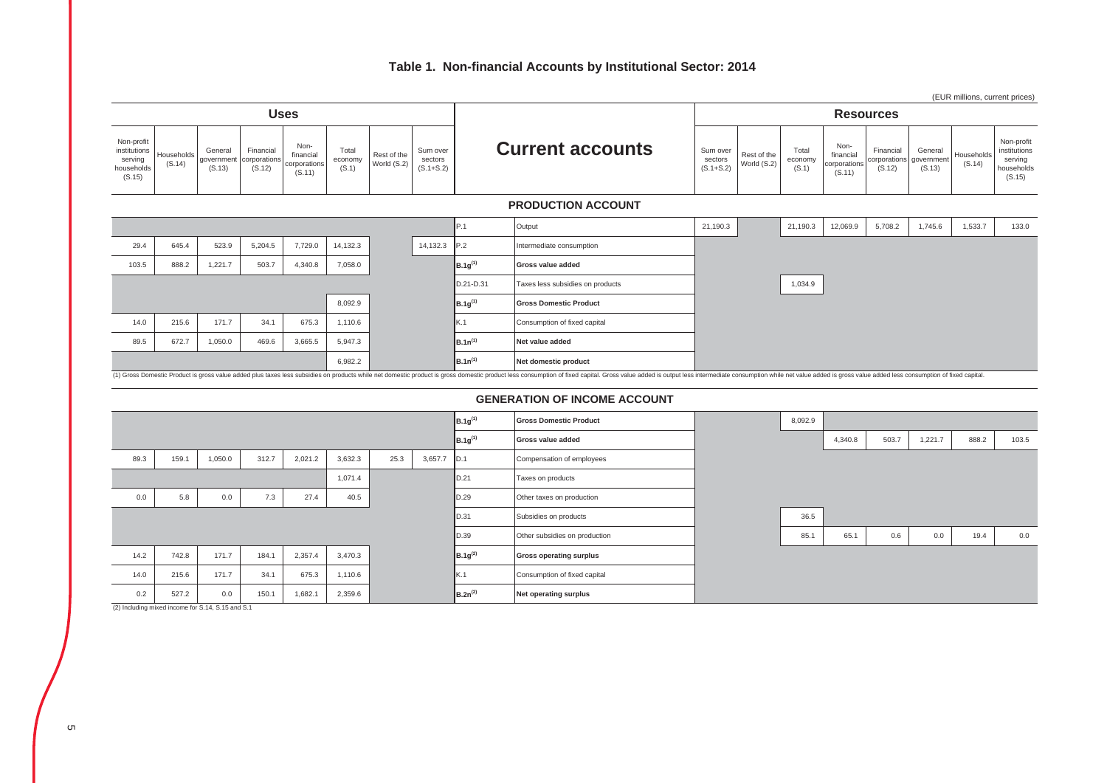# **Table 1. Non-financial Accounts by Institutional Sector: 2014**



(2) Including mixed income for S.14, S.15 and S.1

0.2 527.2 0.0 150.1 1,682.1 2,359.6 **B.2n(2) Net operating surplus**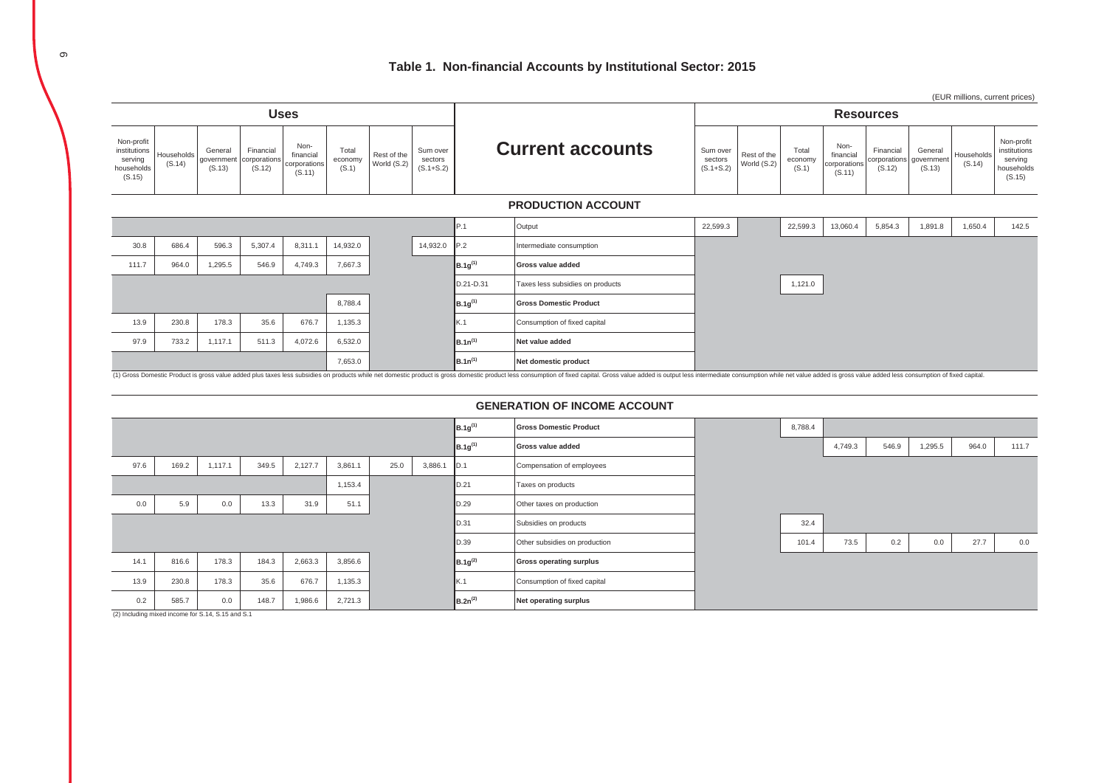

(1) Gross Domestic Product is gross value added plus taxes less subsidies on products while net domestic product is gross domestic product less consumption of fixed capital. Gross value added is output less intermediate co

### **GENERATION OF INCOME ACCOUNT**

|      |       |         |       |         |         |      |         | $B.1g^{(1)}$ | <b>Gross Domestic Product</b>  | 8,788.4 |         |       |         |       |       |
|------|-------|---------|-------|---------|---------|------|---------|--------------|--------------------------------|---------|---------|-------|---------|-------|-------|
|      |       |         |       |         |         |      |         | $B.1g^{(1)}$ | Gross value added              |         | 4,749.3 | 546.9 | 1,295.5 | 964.0 | 111.7 |
| 97.6 | 169.2 | 1,117.1 | 349.5 | 2,127.7 | 3,861.1 | 25.0 | 3,886.1 | D.1          | Compensation of employees      |         |         |       |         |       |       |
|      |       |         |       |         | 1,153.4 |      |         | ID.21        | Taxes on products              |         |         |       |         |       |       |
| 0.0  | 5.9   | 0.0     | 13.3  | 31.9    | 51.1    |      |         | D.29         | Other taxes on production      |         |         |       |         |       |       |
|      |       |         |       |         |         |      |         | D.31         | Subsidies on products          | 32.4    |         |       |         |       |       |
|      |       |         |       |         |         |      |         | D.39         | Other subsidies on production  | 101.4   | 73.5    | 0.2   | 0.0     | 27.7  | 0.0   |
| 14.1 | 816.6 | 178.3   | 184.3 | 2,663.3 | 3,856.6 |      |         | $B.1g^{(2)}$ | <b>Gross operating surplus</b> |         |         |       |         |       |       |
| 13.9 | 230.8 | 178.3   | 35.6  | 676.7   | 1,135.3 |      |         | K.1          | Consumption of fixed capital   |         |         |       |         |       |       |
| 0.2  | 585.7 | 0.0     | 148.7 | 1,986.6 | 2,721.3 |      |         | $B.2n^{(2)}$ | Net operating surplus          |         |         |       |         |       |       |
|      |       |         |       |         |         |      |         |              |                                |         |         |       |         |       |       |

(2) Including mixed income for S.14, S.15 and S.1